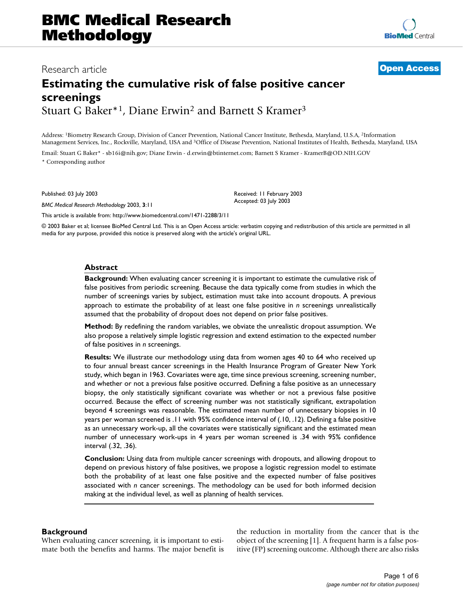# **BMC Medical Research Methodology**

# Research article **[Open Access](http://www.biomedcentral.com/info/about/charter/)**

# **Estimating the cumulative risk of false positive cancer screenings** Stuart G Baker\*1, Diane Erwin2 and Barnett S Kramer3

Address: 1Biometry Research Group, Division of Cancer Prevention, National Cancer Institute, Bethesda, Maryland, U.S.A, 2Information Management Services, Inc., Rockville, Maryland, USA and 3Office of Disease Prevention, National Institutes of Health, Bethesda, Maryland, USA

Email: Stuart G Baker\* - sb16i@nih.gov; Diane Erwin - d.erwin@btinternet.com; Barnett S Kramer - KramerB@OD.NIH.GOV \* Corresponding author

Published: 03 July 2003

*BMC Medical Research Methodology* 2003, **3**:11

Received: 11 February 2003 Accepted: 03 July 2003

[This article is available from: http://www.biomedcentral.com/1471-2288/3/11](http://www.biomedcentral.com/1471-2288/3/11)

© 2003 Baker et al; licensee BioMed Central Ltd. This is an Open Access article: verbatim copying and redistribution of this article are permitted in all media for any purpose, provided this notice is preserved along with the article's original URL.

### **Abstract**

**Background:** When evaluating cancer screening it is important to estimate the cumulative risk of false positives from periodic screening. Because the data typically come from studies in which the number of screenings varies by subject, estimation must take into account dropouts. A previous approach to estimate the probability of at least one false positive in *n* screenings unrealistically assumed that the probability of dropout does not depend on prior false positives.

**Method:** By redefining the random variables, we obviate the unrealistic dropout assumption. We also propose a relatively simple logistic regression and extend estimation to the expected number of false positives in *n* screenings.

**Results:** We illustrate our methodology using data from women ages 40 to 64 who received up to four annual breast cancer screenings in the Health Insurance Program of Greater New York study, which began in 1963. Covariates were age, time since previous screening, screening number, and whether or not a previous false positive occurred. Defining a false positive as an unnecessary biopsy, the only statistically significant covariate was whether or not a previous false positive occurred. Because the effect of screening number was not statistically significant, extrapolation beyond 4 screenings was reasonable. The estimated mean number of unnecessary biopsies in 10 years per woman screened is .11 with 95% confidence interval of (.10, .12). Defining a false positive as an unnecessary work-up, all the covariates were statistically significant and the estimated mean number of unnecessary work-ups in 4 years per woman screened is .34 with 95% confidence interval (.32, .36).

**Conclusion:** Using data from multiple cancer screenings with dropouts, and allowing dropout to depend on previous history of false positives, we propose a logistic regression model to estimate both the probability of at least one false positive and the expected number of false positives associated with *n* cancer screenings. The methodology can be used for both informed decision making at the individual level, as well as planning of health services.

## **Background**

When evaluating cancer screening, it is important to estimate both the benefits and harms. The major benefit is the reduction in mortality from the cancer that is the object of the screening [1]. A frequent harm is a false positive (FP) screening outcome. Although there are also risks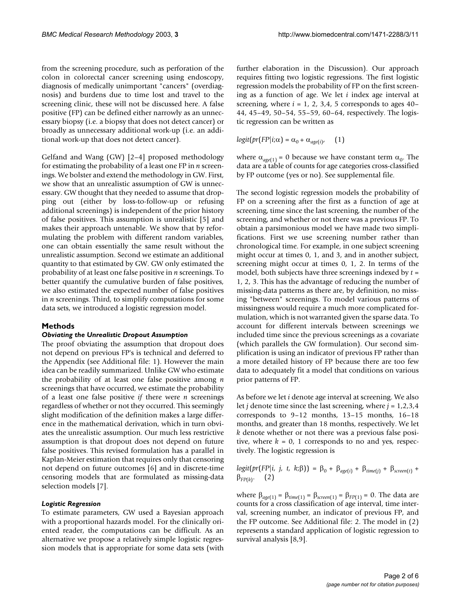from the screening procedure, such as perforation of the colon in colorectal cancer screening using endoscopy, diagnosis of medically unimportant "cancers" (overdiagnosis) and burdens due to time lost and travel to the screening clinic, these will not be discussed here. A false positive (FP) can be defined either narrowly as an unnecessary biopsy (i.e. a biopsy that does not detect cancer) or broadly as unnecessary additional work-up (i.e. an additional work-up that does not detect cancer).

Gelfand and Wang (GW) [2–4] proposed methodology for estimating the probability of a least one FP in *n* screenings. We bolster and extend the methodology in GW. First, we show that an unrealistic assumption of GW is unnecessary. GW thought that they needed to assume that dropping out (either by loss-to-follow-up or refusing additional screenings) is independent of the prior history of false positives. This assumption is unrealistic [5] and makes their approach untenable. We show that by reformulating the problem with different random variables, one can obtain essentially the same result without the unrealistic assumption. Second we estimate an additional quantity to that estimated by GW. GW only estimated the probability of at least one false positive in *n* screenings. To better quantify the cumulative burden of false positives, we also estimated the expected number of false positives in *n* screenings. Third, to simplify computations for some data sets, we introduced a logistic regression model.

## **Methods**

#### *Obviating the Unrealistic Dropout Assumption*

The proof obviating the assumption that dropout does not depend on previous FP's is technical and deferred to the Appendix (see Additional file: 1). However the main idea can be readily summarized. Unlike GW who estimate the probability of at least one false positive among *n* screenings that have occurred, we estimate the probability of a least one false positive *if* there were *n* screenings regardless of whether or not they occurred. This seemingly slight modification of the definition makes a large difference in the mathematical derivation, which in turn obviates the unrealistic assumption. Our much less restrictive assumption is that dropout does not depend on future false positives. This revised formulation has a parallel in Kaplan-Meier estimation that requires only that censoring not depend on future outcomes [6] and in discrete-time censoring models that are formulated as missing-data selection models [7].

#### *Logistic Regression*

To estimate parameters, GW used a Bayesian approach with a proportional hazards model. For the clinically oriented reader, the computations can be difficult. As an alternative we propose a relatively simple logistic regression models that is appropriate for some data sets (with

further elaboration in the Discussion). Our approach requires fitting two logistic regressions. The first logistic regression models the probability of FP on the first screening as a function of age. We let *i* index age interval at screening, where  $i = 1, 2, 3, 4, 5$  corresponds to ages  $40-$ 44, 45–49, 50–54, 55–59, 60–64, respectively. The logistic regression can be written as

$$
logit(pr(FP|i;\alpha) = \alpha_0 + \alpha_{age(i)}, \quad (1)
$$

where  $\alpha_{age(1)} = 0$  because we have constant term  $\alpha_0$ . The data are a table of counts for age categories cross-classified by FP outcome (yes or no). See supplemental file.

The second logistic regression models the probability of FP on a screening after the first as a function of age at screening, time since the last screening, the number of the screening, and whether or not there was a previous FP. To obtain a parsimonious model we have made two simplifications. First we use screening number rather than chronological time. For example, in one subject screening might occur at times 0, 1, and 3, and in another subject, screening might occur at times 0, 1, 2. In terms of the model, both subjects have three screenings indexed by *t* = 1, 2, 3. This has the advantage of reducing the number of missing-data patterns as there are, by definition, no missing "between" screenings. To model various patterns of missingness would require a much more complicated formulation, which is not warranted given the sparse data. To account for different intervals between screenings we included time since the previous screenings as a covariate (which parallels the GW formulation). Our second simplification is using an indicator of previous FP rather than a more detailed history of FP because there are too few data to adequately fit a model that conditions on various prior patterns of FP.

As before we let *i* denote age interval at screening. We also let *j* denote time since the last screening, where *j* = 1,2,3,4 corresponds to 9–12 months, 13–15 months, 16–18 months, and greater than 18 months, respectively. We let *k* denote whether or not there was a previous false positive, where  $k = 0$ , 1 corresponds to no and yes, respectively. The logistic regression is

 $logit(pr(FP|i, j, t, k; \beta)) = \beta_0 + \beta_{age(i)} + \beta_{time(j)} + \beta_{screen(t)} + \beta_{green(i)}$  $\beta_{FP(k)}.$  (2)

where  $β_{age(1)} = β_{time(1)} = β_{screen(1)} = β_{FP(1)} = 0$ . The data are counts for a cross classification of age interval, time interval, screening number, an indicator of previous FP, and the FP outcome. See Additional file: 2. The model in (2) represents a standard application of logistic regression to survival analysis [8,9].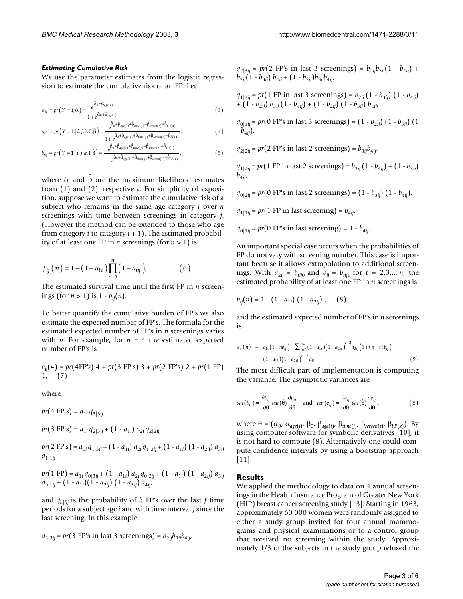#### *Estimating Cumulative Risk*

We use the parameter estimates from the logistic regression to estimate the cumulative risk of an FP. Let

$$
a_{1i} = pr(Y = 1; \hat{\alpha}) = \frac{e^{\hat{\alpha}_0 + \hat{\alpha}_{agg(i)}}}{1 + e^{\hat{\alpha}_0 + \hat{\alpha}_{agg(i)}}},
$$
\n(3)

$$
a_{tij} = pr\left(Y=1 \mid i,j,k,0;\hat{\beta}\right) = \frac{e^{\hat{\beta}_0 + \hat{\beta}_{age(i)} + \hat{\beta}_{time(j)} + \hat{\beta}_{screen(t)} + \hat{\beta}_{FP(0)}}}{1 + e^{\hat{\beta}_0 + \hat{\beta}_{age(i)} + \hat{\beta}_{time(j)} + \hat{\beta}_{screen(t)} + \hat{\beta}_{FP(1)}}},\tag{4}
$$

$$
b_{tij} = pr(Y = 1 | i, j, k, 1; \hat{\beta}) = \frac{e^{\hat{\beta}_0 + \hat{\beta}_{\text{age}(i)} + \hat{\beta}_{\text{time}(j)} + \hat{\beta}_{\text{score}(t)} + \hat{\beta}_{\text{FP}(1)}}}{1 + e^{\hat{\beta}_0 + \hat{\beta}_{\text{age}(i)} + \hat{\beta}_{\text{time}(j)} + \hat{\beta}_{\text{screen}(t)} + \hat{\beta}_{\text{Free}(t)}}},
$$
(5)

where  $\hat{\alpha}$  and  $\hat{\beta}$  are the maximum likelihood estimates from (1) and (2), respectively. For simplicity of exposition, suppose we want to estimate the cumulative risk of a subject who remains in the same age category *i* over *n* screenings with time between screenings in category *j*. (However the method can be extended to those who age from category *i* to category *i* + 1). The estimated probability of at least one FP in *n* screenings (for *n* > 1) is

$$
p_{ij}(n) = 1 - (1 - a_{1i}) \prod_{t=2}^{n} (1 - a_{tij}), \qquad (6)
$$

The estimated survival time until the first FP in *n* screenings (for  $n > 1$ ) is  $1 - p_{ii}(n)$ .

To better quantify the cumulative burden of FP's we also estimate the expected number of FP's. The formula for the estimated expected number of FP's in *n* screenings varies with  $n$ . For example, for  $n = 4$  the estimated expected number of FP's is

$$
e_{ij}(4) = pr(4FP's) \ 4 + pr(3 FP's) \ 3 + pr(2 FP's) \ 2 + pr(1 FP)
$$
  
1, (7)

where

 $pr(4 \text{ FP's}) = a_{1i} q_{3|3ii}$ 

$$
pr(3 \text{ FP's}) = a_{1i} q_{2|3ij} + (1 - a_{1i}) a_{2i} q_{2|2ij}
$$

 $pr(2 \text{ FP's}) = a_{1i} q_{1|3ij} + (1 - a_{1i}) a_{2i} q_{1|2ij} + (1 - a_{1i}) (1 - a_{2ij}) a_{3ij}$ *q*1|1*ij*

 $pr(1 \text{ FP}) = a_{1i} q_{0|3ij} + (1 - a_{1i}) a_{2i} q_{0|2ij} + (1 - a_{1i}) (1 - a_{2ij}) a_{3ij}$ *q*0|1*ij* + (1 - *a*1*<sup>i</sup>* )(1 - *a*2*ij*) (1 - *a*3*ij*) *a*4*ij*,

and  $q_{h|fii}$  is the probability of *h* FP's over the last *f* time periods for a subject age *i* and with time interval *j* since the last screening. In this example

$$
q_{3|3ij} = pr(3 \text{ FP's in last 3 screenings}) = b_{2ij}b_{3ij}b_{4ij}
$$

 $q_{2|3ij} = pr(2 \text{ FP's in last 3 screenings)} = b_{2ij}b_{3ij}(1 - b_{4ij}) +$  $b_{2ij}(1 - b_{3ij}) b_{4ij} + (1 - b_{2ij}) b_{3ij}b_{4ij}$ 

$$
q_{1|3ij} = pr(1 \text{ FP in last 3 screens}) = b_{2ij} (1 - b_{3ij}) (1 - b_{4ij}) + (1 - b_{2ij}) b_{3ij} (1 - b_{4ij}) + (1 - b_{2ij}) b_{4ij}
$$

*q*0|3*ij* = *pr*(0 FP's in last 3 screenings) = (1 - *b*2*ij*) (1 - *b*3*ij*) (1 - *b*4*ij*),

 $q_{2|2ij}$  =  $pr(2$  FP's in last 2 screenings) =  $b_{3ij}b_{4ij}$ ,

 $q_{1|2ii} = pr(1 \text{ FP in last 2 screenings)} = b_{3ii}(1 - b_{4ii}) + (1 - b_{3ii})$  $b_{4}$ *ij* 

 $q_{0|2ij} = pr(0 \text{ FP's in last 2 screenings) = (1 - b_{3ij}) (1 - b_{4ij}),$ 

 $q_{1|1ii}$  =  $pr(1$  FP in last screening) =  $b_{4ii}$ ,

 $q_{0|1ii} = pr(0 \text{ FP's in last screening}) = 1 - b_{4ii}$ .

An important special case occurs when the probabilities of FP do not vary with screening number. This case is important because it allows extrapolation to additional screenings. With  $a_{2ij} = b_{tij0}$  and  $b_{ij} = b_{tij1}$  for  $t = 2,3,...,n$ , the estimated probability of at least one FP in *n* screenings is

$$
p_{ij}(n) = 1 - (1 - a_{1i}) (1 - a_{2ij})^n, \quad (8)
$$

and the estimated expected number of FP's in *n* screenings is

$$
e_{ij}(n) = a_{1i} (1 + nb_{ij}) + \sum_{t=2}^{n-1} (1 - a_{1i}) (1 - a_{2ij})^{t-2} a_{2ij} (1 + (n-t)b_{ij})
$$
  
+ 
$$
(1 - a_{1i}) (1 - a_{2ij})^{n-2} a_{ij}.
$$
 (9)

The most difficult part of implementation is computing the variance. The asymptotic variances are

$$
var(p_{ij}) = \frac{\partial p_{ij}}{\partial \theta} var(\hat{\theta}) \frac{\partial p_{ij}}{\partial \theta} \quad \text{and} \quad var(e_{ij}) = \frac{\partial e_{ij}}{\partial \theta} var(\hat{\theta}) \frac{\partial e_{ij}}{\partial \theta}, \tag{8}
$$

where  $θ = (α_0, α_{age(i)}, β_0, β_{age(i)}, β_{time(j)}, β_{screen(t)}, β_{FP(k)}).$  By using computer software for symbolic derivatives [10], it is not hard to compute (8). Alternatively one could compute confidence intervals by using a bootstrap approach [11].

#### **Results**

We applied the methodology to data on 4 annual screenings in the Health Insurance Program of Greater New York (HIP) breast cancer screening study [13]. Starting in 1963, approximately 60,000 women were randomly assigned to either a study group invited for four annual mammograms and physical examinations or to a control group that received no screening within the study. Approximately 1/3 of the subjects in the study group refused the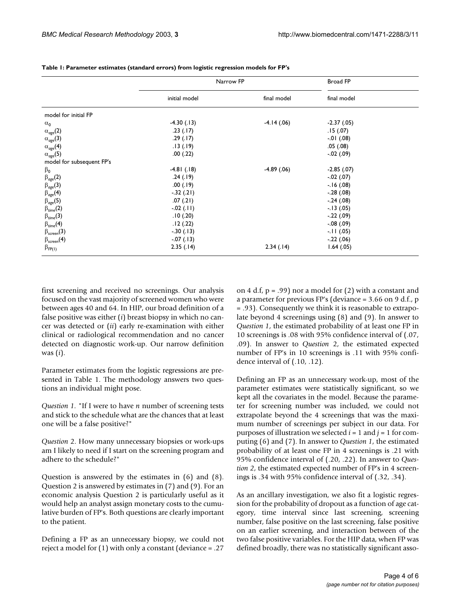|                           | Narrow FP     |               | Broad FP      |  |
|---------------------------|---------------|---------------|---------------|--|
|                           | initial model | final model   | final model   |  |
| model for initial FP      |               |               |               |  |
| $\alpha_0$                | $-4.30(.13)$  | $-4.14(06)$   | $-2.37(0.05)$ |  |
| $\alpha_{\rm age}(2)$     | .23(.17)      |               | .15(07)       |  |
| $\alpha_{age}(3)$         | .29(.17)      |               | $-01$ (.08)   |  |
| $\alpha_{\text{age}}(4)$  | .13(.19)      |               | .05(.08)      |  |
| $\alpha_{age}(5)$         | .00(.22)      |               | $-.02(.09)$   |  |
| model for subsequent FP's |               |               |               |  |
| $\beta_0$                 | $-4.81(.18)$  | $-4.89(0.06)$ | $-2.85(0.07)$ |  |
| $\beta_{age}(2)$          | .24(.19)      |               | $-.02(.07)$   |  |
| $\beta_{age}(3)$          | .00(.19)      |               | $-16(0.08)$   |  |
| $\beta_{age}(4)$          | $-.32(.21)$   |               | $-.28(.08)$   |  |
| $\beta_{age}(5)$          | .07(.21)      |               | $-.24(.08)$   |  |
| $\beta_{time}(2)$         | $-.02(.11)$   |               | $-13(0.05)$   |  |
| $\beta_{time}(3)$         | .10(.20)      |               | $-.22(.09)$   |  |
| $\beta_{time}(4)$         | .12(.22)      |               | $-.08(.09)$   |  |
| $\beta_{screen}(3)$       | $-.30(.13)$   |               | $-11(05)$     |  |
| $\beta_{screen}(4)$       | $-.07(.13)$   |               | $-.22(.06)$   |  |
| $\beta_{FP(1)}$           | 2.35(.14)     | 2.34(.14)     | 1.64(0.05)    |  |

#### <span id="page-3-0"></span>**Table 1: Parameter estimates (standard errors) from logistic regression models for FP's**

first screening and received no screenings. Our analysis focused on the vast majority of screened women who were between ages 40 and 64. In HIP, our broad definition of a false positive was either (*i*) breast biopsy in which no cancer was detected or (*ii*) early re-examination with either clinical or radiological recommendation and no cancer detected on diagnostic work-up. Our narrow definition was (*i*).

Parameter estimates from the logistic regressions are presented in Table [1.](#page-3-0) The methodology answers two questions an individual might pose.

*Question 1.* "If I were to have *n* number of screening tests and stick to the schedule what are the chances that at least one will be a false positive?"

*Question* 2. How many unnecessary biopsies or work-ups am I likely to need if I start on the screening program and adhere to the schedule?"

Question is answered by the estimates in (6) and (8). Question 2 is answered by estimates in (7) and (9). For an economic analysis Question 2 is particularly useful as it would help an analyst assign monetary costs to the cumulative burden of FP's. Both questions are clearly important to the patient.

Defining a FP as an unnecessary biopsy, we could not reject a model for (1) with only a constant (deviance = .27

on 4 d.f,  $p = .99$ ) nor a model for  $(2)$  with a constant and a parameter for previous FP's (deviance = 3.66 on 9 d.f., p = .93). Consequently we think it is reasonable to extrapolate beyond 4 screenings using (8) and (9). In answer to *Question 1*, the estimated probability of at least one FP in 10 screenings is .08 with 95% confidence interval of (.07, .09). In answer to *Question* 2, the estimated expected number of FP's in 10 screenings is .11 with 95% confidence interval of (.10, .12).

Defining an FP as an unnecessary work-up, most of the parameter estimates were statistically significant, so we kept all the covariates in the model. Because the parameter for screening number was included, we could not extrapolate beyond the 4 screenings that was the maximum number of screenings per subject in our data. For purposes of illustration we selected  $i = 1$  and  $j = 1$  for computing (6) and (7). In answer to *Question 1*, the estimated probability of at least one FP in 4 screenings is .21 with 95% confidence interval of (.20, .22). In answer to *Question 2*, the estimated expected number of FP's in 4 screenings is .34 with 95% confidence interval of (.32, .34).

As an ancillary investigation, we also fit a logistic regression for the probability of dropout as a function of age category, time interval since last screening, screening number, false positive on the last screening, false positive on an earlier screening, and interaction between of the two false positive variables. For the HIP data, when FP was defined broadly, there was no statistically significant asso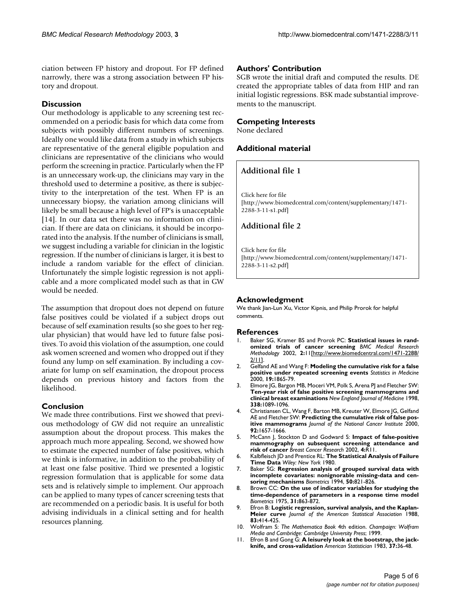ciation between FP history and dropout. For FP defined narrowly, there was a strong association between FP history and dropout.

# **Discussion**

Our methodology is applicable to any screening test recommended on a periodic basis for which data come from subjects with possibly different numbers of screenings. Ideally one would like data from a study in which subjects are representative of the general eligible population and clinicians are representative of the clinicians who would perform the screening in practice. Particularly when the FP is an unnecessary work-up, the clinicians may vary in the threshold used to determine a positive, as there is subjectivity to the interpretation of the test. When FP is an unnecessary biopsy, the variation among clinicians will likely be small because a high level of FP's is unacceptable [14]. In our data set there was no information on clinician. If there are data on clinicians, it should be incorporated into the analysis. If the number of clinicians is small, we suggest including a variable for clinician in the logistic regression. If the number of clinicians is larger, it is best to include a random variable for the effect of clinician. Unfortunately the simple logistic regression is not applicable and a more complicated model such as that in GW would be needed.

The assumption that dropout does not depend on future false positives could be violated if a subject drops out because of self examination results (so she goes to her regular physician) that would have led to future false positives. To avoid this violation of the assumption, one could ask women screened and women who dropped out if they found any lump on self examination. By including a covariate for lump on self examination, the dropout process depends on previous history and factors from the likelihood.

# **Conclusion**

We made three contributions. First we showed that previous methodology of GW did not require an unrealistic assumption about the dropout process. This makes the approach much more appealing. Second, we showed how to estimate the expected number of false positives, which we think is informative, in addition to the probability of at least one false positive. Third we presented a logistic regression formulation that is applicable for some data sets and is relatively simple to implement. Our approach can be applied to many types of cancer screening tests that are recommended on a periodic basis. It is useful for both advising individuals in a clinical setting and for health resources planning.

# **Authors' Contribution**

SGB wrote the initial draft and computed the results. DE created the appropriate tables of data from HIP and ran initial logistic regressions. BSK made substantial improvements to the manuscript.

# **Competing Interests**

None declared

# **Additional material**

# **Additional file 1**

Click here for file [\[http://www.biomedcentral.com/content/supplementary/1471-](http://www.biomedcentral.com/content/supplementary/1471-2288-3-11-s1.pdf) 2288-3-11-s1.pdf]

# **Additional file 2**

Click here for file [\[http://www.biomedcentral.com/content/supplementary/1471-](http://www.biomedcentral.com/content/supplementary/1471-2288-3-11-s2.pdf) 2288-3-11-s2.pdf]

# **Acknowledgment**

We thank Jian-Lun Xu, Victor Kipnis, and Philip Prorok for helpful comments.

## **References**

- 1. Baker SG, Kramer BS and Prorok PC: **[Statistical issues in rand](http://www.ncbi.nlm.nih.gov/entrez/query.fcgi?cmd=Retrieve&db=PubMed&dopt=Abstract&list_uids=12238954)[omized trials of cancer screening](http://www.ncbi.nlm.nih.gov/entrez/query.fcgi?cmd=Retrieve&db=PubMed&dopt=Abstract&list_uids=12238954)** *BMC Medical Research Methodology* 2002, **2:**11[\[http://www.biomedcentral.com/1471-2288/](http://www.biomedcentral.com/1471-2288/2/11) [2/11](http://www.biomedcentral.com/1471-2288/2/11)].
- 2. Gelfand AE and Wang F: **[Modeling the cumulative risk for a false](http://www.ncbi.nlm.nih.gov/entrez/query.fcgi?cmd=Retrieve&db=PubMed&dopt=Abstract&list_uids=10867676) [positive under repeated screening events](http://www.ncbi.nlm.nih.gov/entrez/query.fcgi?cmd=Retrieve&db=PubMed&dopt=Abstract&list_uids=10867676)** *Statistics in Medicine* 2000, **19:**1865-79.
- 3. Elmore JG, Bargon MB, Moceri VM, Polk S, Arena PJ and Fletcher SW: **[Ten-year risk of false positive screening mammograms and](http://www.ncbi.nlm.nih.gov/entrez/query.fcgi?cmd=Retrieve&db=PubMed&dopt=Abstract&list_uids=9545356) [clinical breast examinations](http://www.ncbi.nlm.nih.gov/entrez/query.fcgi?cmd=Retrieve&db=PubMed&dopt=Abstract&list_uids=9545356)** *New England Journal of Medicine* 1998, **338:**1089-1096.
- 4. Christiansen CL, Wang F, Barton MB, Kreuter W, Elmore JG, Gelfand AE and Fletcher SW: **[Predicting the cumulative risk of false pos](http://www.ncbi.nlm.nih.gov/entrez/query.fcgi?cmd=Retrieve&db=PubMed&dopt=Abstract&list_uids=11036111)[itive mammograms](http://www.ncbi.nlm.nih.gov/entrez/query.fcgi?cmd=Retrieve&db=PubMed&dopt=Abstract&list_uids=11036111)** *Journal of the National Cancer Institute* 2000, **92:**1657-1666.
- 5. McCann J, Stockton D and Godward S: **[Impact of false-positive](http://www.ncbi.nlm.nih.gov/entrez/query.fcgi?cmd=Retrieve&db=PubMed&dopt=Abstract&list_uids=12223128) [mammography on subsequent screening attendance and](http://www.ncbi.nlm.nih.gov/entrez/query.fcgi?cmd=Retrieve&db=PubMed&dopt=Abstract&list_uids=12223128) [risk of cancer](http://www.ncbi.nlm.nih.gov/entrez/query.fcgi?cmd=Retrieve&db=PubMed&dopt=Abstract&list_uids=12223128)** *Breast Cancer Research* 2002, **4:**R11.
- 6. Kalbfleisch JD and Prentice RL: **The Statistical Analysis of Failure Time Data** *Wiley: New York* 1980.
- 7. Baker SG: **[Regression analysis of grouped survival data with](http://www.ncbi.nlm.nih.gov/entrez/query.fcgi?cmd=Retrieve&db=PubMed&dopt=Abstract&list_uids=7981401) [incomplete covariates: nonignorable missing-data and cen](http://www.ncbi.nlm.nih.gov/entrez/query.fcgi?cmd=Retrieve&db=PubMed&dopt=Abstract&list_uids=7981401)[soring mechanisms](http://www.ncbi.nlm.nih.gov/entrez/query.fcgi?cmd=Retrieve&db=PubMed&dopt=Abstract&list_uids=7981401)** *Biometrics* 1994, **50:**821-826.
- 8. Brown CC: **[On the use of indicator variables for studying the](http://www.ncbi.nlm.nih.gov/entrez/query.fcgi?cmd=Retrieve&db=PubMed&dopt=Abstract&list_uids=1203428) [time-dependence of parameters in a response time model](http://www.ncbi.nlm.nih.gov/entrez/query.fcgi?cmd=Retrieve&db=PubMed&dopt=Abstract&list_uids=1203428)** *Biometrics* 1975, **31:**863-872.
- 9. Efron B: **Logistic regression, survival analysis, and the Kaplan-Meier curve** *Journal of the American Statistical Association* 1988, **83:**414-425.
- 10. Wolfram S: *The Mathematica Book* 4th edition. *Champaign: Wolfram Media and Cambridge: Cambridge University Press*; 1999.
- 11. Efron B and Gong G: **A leisurely look at the bootstrap, the jackknife, and cross-validation** *American Statistician* 1983, **37:**36-48.